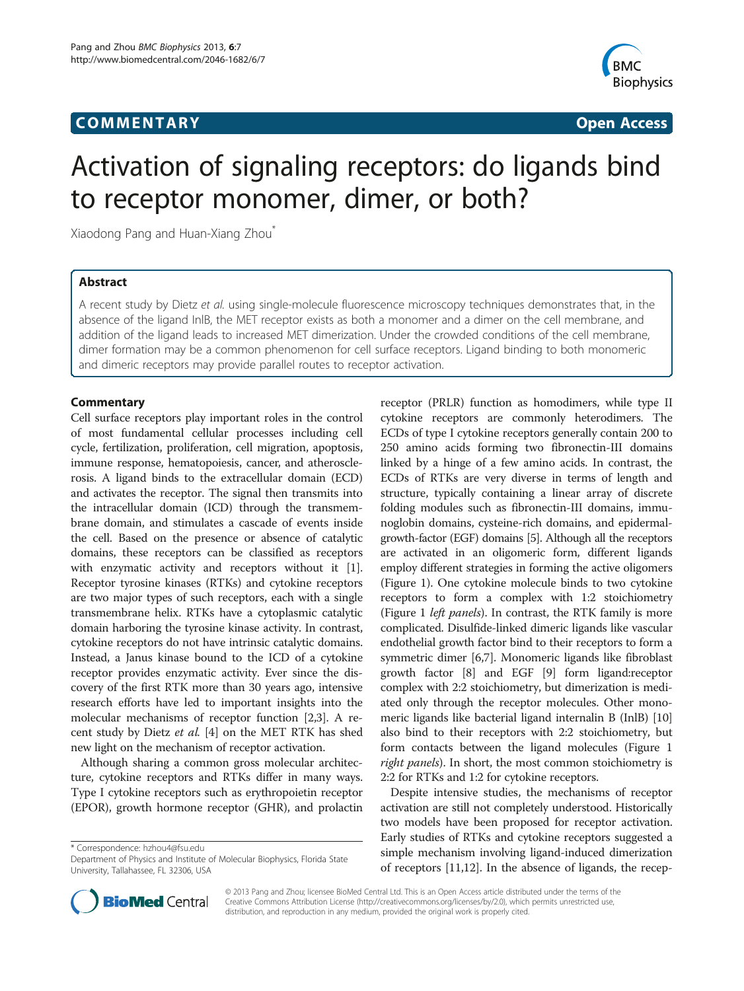## Communication of the communication of the communication of the communication of the communication of the communication of the communication of the communication of the communication of the communication of the communicatio



# Activation of signaling receptors: do ligands bind to receptor monomer, dimer, or both?

Xiaodong Pang and Huan-Xiang Zhou<sup>®</sup>

A recent study by Dietz et al. using single-molecule fluorescence microscopy techniques demonstrates that, in the absence of the ligand InlB, the MET receptor exists as both a monomer and a dimer on the cell membrane, and addition of the ligand leads to increased MET dimerization. Under the crowded conditions of the cell membrane, dimer formation may be a common phenomenon for cell surface receptors. Ligand binding to both monomeric and dimeric receptors may provide parallel routes to receptor activation.

Cell surface receptors play important roles in the control of most fundamental cellular processes including cell cycle, fertilization, proliferation, cell migration, apoptosis, immune response, hematopoiesis, cancer, and atherosclerosis. A ligand binds to the extracellular domain (ECD) and activates the receptor. The signal then transmits into the intracellular domain (ICD) through the transmembrane domain, and stimulates a cascade of events inside the cell. Based on the presence or absence of catalytic domains, these receptors can be classified as receptors with enzymatic activity and receptors without it [[1](#page-2-0)]. Receptor tyrosine kinases (RTKs) and cytokine receptors are two major types of such receptors, each with a single transmembrane helix. RTKs have a cytoplasmic catalytic domain harboring the tyrosine kinase activity. In contrast, cytokine receptors do not have intrinsic catalytic domains. Instead, a Janus kinase bound to the ICD of a cytokine receptor provides enzymatic activity. Ever since the discovery of the first RTK more than 30 years ago, intensive research efforts have led to important insights into the molecular mechanisms of receptor function [\[2,3](#page-2-0)]. A recent study by Dietz et al. [\[4\]](#page-2-0) on the MET RTK has shed new light on the mechanism of receptor activation.

Although sharing a common gross molecular architecture, cytokine receptors and RTKs differ in many ways. Type I cytokine receptors such as erythropoietin receptor (EPOR), growth hormone receptor (GHR), and prolactin

\* Correspondence: [hzhou4@fsu.edu](mailto:hzhou4@fsu.edu)

receptor (PRLR) function as homodimers, while type II cytokine receptors are commonly heterodimers. The ECDs of type I cytokine receptors generally contain 200 to 250 amino acids forming two fibronectin-III domains linked by a hinge of a few amino acids. In contrast, the ECDs of RTKs are very diverse in terms of length and structure, typically containing a linear array of discrete folding modules such as fibronectin-III domains, immunoglobin domains, cysteine-rich domains, and epidermalgrowth-factor (EGF) domains [[5](#page-2-0)]. Although all the receptors are activated in an oligomeric form, different ligands employ different strategies in forming the active oligomers (Figure [1\)](#page-1-0). One cytokine molecule binds to two cytokine receptors to form a complex with 1:2 stoichiometry (Figure [1](#page-1-0) *left panels*). In contrast, the RTK family is more complicated. Disulfide-linked dimeric ligands like vascular endothelial growth factor bind to their receptors to form a symmetric dimer [[6,7](#page-2-0)]. Monomeric ligands like fibroblast growth factor [\[8\]](#page-2-0) and EGF [\[9](#page-2-0)] form ligand:receptor complex with 2:2 stoichiometry, but dimerization is mediated only through the receptor molecules. Other monomeric ligands like bacterial ligand internalin B (InlB) [[10](#page-2-0)] also bind to their receptors with 2:2 stoichiometry, but form contacts between the ligand molecules (Figure [1](#page-1-0) right panels). In short, the most common stoichiometry is 2:2 for RTKs and 1:2 for cytokine receptors.

Despite intensive studies, the mechanisms of receptor activation are still not completely understood. Historically two models have been proposed for receptor activation. Early studies of RTKs and cytokine receptors suggested a simple mechanism involving ligand-induced dimerization of receptors [[11,12\]](#page-2-0). In the absence of ligands, the recep-



© 2013 Pang and Zhou; licensee BioMed Central Ltd. This is an Open Access article distributed under the terms of the Creative Commons Attribution License (<http://creativecommons.org/licenses/by/2.0>), which permits unrestricted use, distribution, and reproduction in any medium, provided the original work is properly cited.

Department of Physics and Institute of Molecular Biophysics, Florida State University, Tallahassee, FL 32306, USA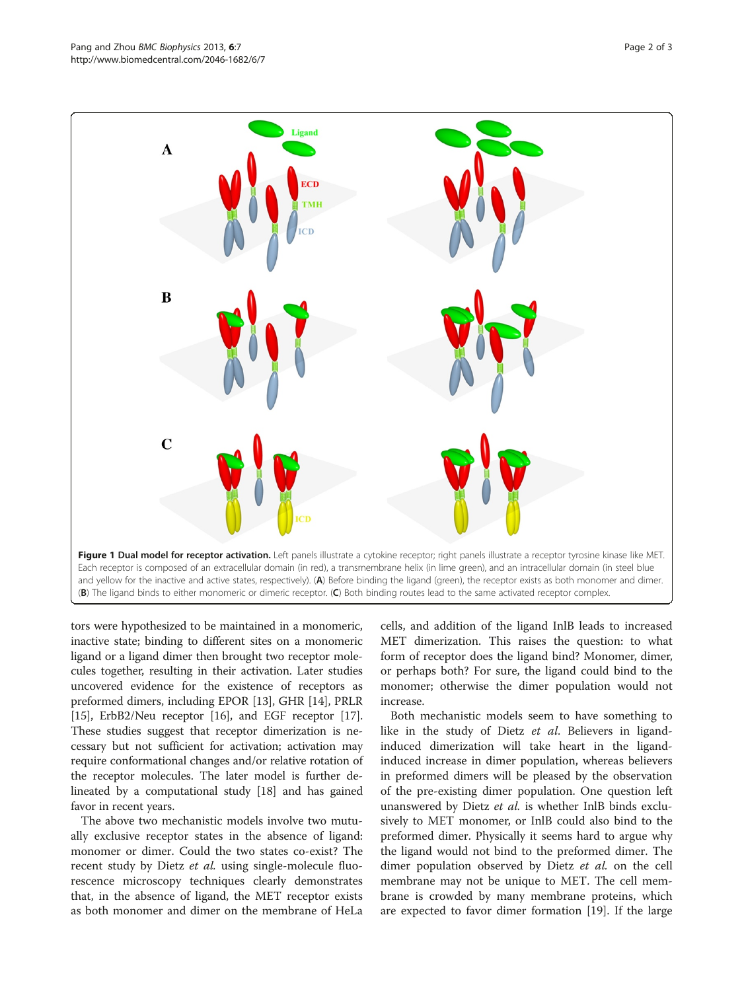<span id="page-1-0"></span>

tors were hypothesized to be maintained in a monomeric, inactive state; binding to different sites on a monomeric ligand or a ligand dimer then brought two receptor molecules together, resulting in their activation. Later studies uncovered evidence for the existence of receptors as preformed dimers, including EPOR [\[13\]](#page-2-0), GHR [[14](#page-2-0)], PRLR [[15](#page-2-0)], ErbB2/Neu receptor [\[16](#page-2-0)], and EGF receptor [[17](#page-2-0)]. These studies suggest that receptor dimerization is necessary but not sufficient for activation; activation may require conformational changes and/or relative rotation of the receptor molecules. The later model is further delineated by a computational study [[18](#page-2-0)] and has gained favor in recent years.

The above two mechanistic models involve two mutually exclusive receptor states in the absence of ligand: monomer or dimer. Could the two states co-exist? The recent study by Dietz et al. using single-molecule fluorescence microscopy techniques clearly demonstrates that, in the absence of ligand, the MET receptor exists as both monomer and dimer on the membrane of HeLa

cells, and addition of the ligand InlB leads to increased MET dimerization. This raises the question: to what form of receptor does the ligand bind? Monomer, dimer, or perhaps both? For sure, the ligand could bind to the monomer; otherwise the dimer population would not increase.

Both mechanistic models seem to have something to like in the study of Dietz et al. Believers in ligandinduced dimerization will take heart in the ligandinduced increase in dimer population, whereas believers in preformed dimers will be pleased by the observation of the pre-existing dimer population. One question left unanswered by Dietz et al. is whether InlB binds exclusively to MET monomer, or InlB could also bind to the preformed dimer. Physically it seems hard to argue why the ligand would not bind to the preformed dimer. The dimer population observed by Dietz et al. on the cell membrane may not be unique to MET. The cell membrane is crowded by many membrane proteins, which are expected to favor dimer formation [\[19\]](#page-2-0). If the large